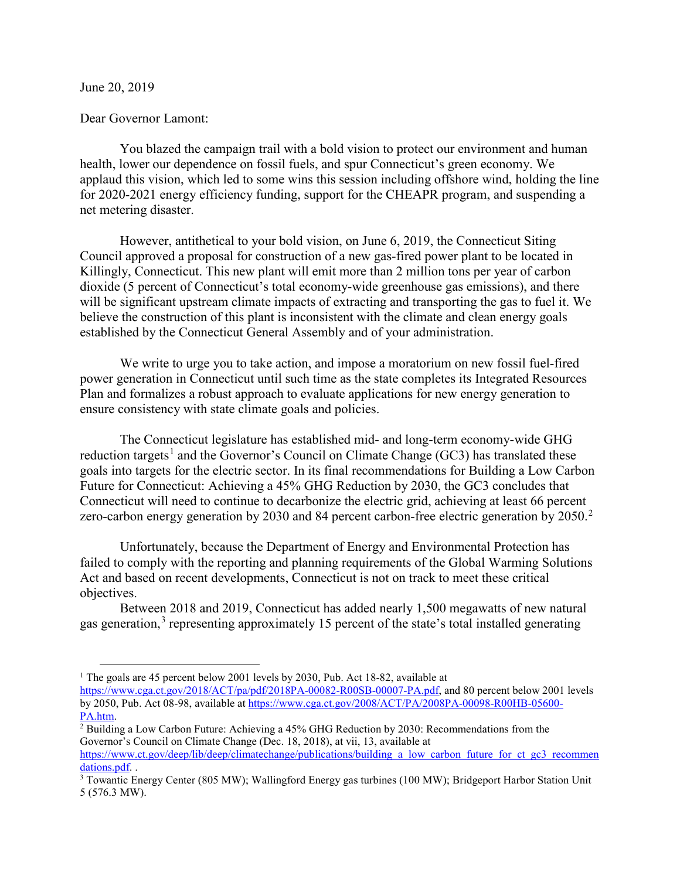June 20, 2019

## Dear Governor Lamont:

You blazed the campaign trail with a bold vision to protect our environment and human health, lower our dependence on fossil fuels, and spur Connecticut's green economy. We applaud this vision, which led to some wins this session including offshore wind, holding the line for 2020-2021 energy efficiency funding, support for the CHEAPR program, and suspending a net metering disaster.

However, antithetical to your bold vision, on June 6, 2019, the Connecticut Siting Council approved a proposal for construction of a new gas-fired power plant to be located in Killingly, Connecticut. This new plant will emit more than 2 million tons per year of carbon dioxide (5 percent of Connecticut's total economy-wide greenhouse gas emissions), and there will be significant upstream climate impacts of extracting and transporting the gas to fuel it. We believe the construction of this plant is inconsistent with the climate and clean energy goals established by the Connecticut General Assembly and of your administration.

We write to urge you to take action, and impose a moratorium on new fossil fuel-fired power generation in Connecticut until such time as the state completes its Integrated Resources Plan and formalizes a robust approach to evaluate applications for new energy generation to ensure consistency with state climate goals and policies.

The Connecticut legislature has established mid- and long-term economy-wide GHG reduction targets<sup>[1](#page-0-0)</sup> and the Governor's Council on Climate Change (GC3) has translated these goals into targets for the electric sector. In its final recommendations for Building a Low Carbon Future for Connecticut: Achieving a 45% GHG Reduction by 2030, the GC3 concludes that Connecticut will need to continue to decarbonize the electric grid, achieving at least 66 percent zero-carbon energy generation by [2](#page-0-1)030 and 84 percent carbon-free electric generation by 2050.<sup>2</sup>

Unfortunately, because the Department of Energy and Environmental Protection has failed to comply with the reporting and planning requirements of the Global Warming Solutions Act and based on recent developments, Connecticut is not on track to meet these critical objectives.

Between 2018 and 2019, Connecticut has added nearly 1,500 megawatts of new natural gas generation,<sup>[3](#page-0-2)</sup> representing approximately 15 percent of the state's total installed generating

<span id="page-0-0"></span><sup>&</sup>lt;sup>1</sup> The goals are 45 percent below 2001 levels by 2030, Pub. Act 18-82, available at

[https://www.cga.ct.gov/2018/ACT/pa/pdf/2018PA-00082-R00SB-00007-PA.pdf,](https://www.cga.ct.gov/2018/ACT/pa/pdf/2018PA-00082-R00SB-00007-PA.pdf) and 80 percent below 2001 levels by 2050, Pub. Act 08-98, available a[t https://www.cga.ct.gov/2008/ACT/PA/2008PA-00098-R00HB-05600-](https://www.cga.ct.gov/2008/ACT/PA/2008PA-00098-R00HB-05600-PA.htm)  $\frac{PA.htm}{2}$  Building a Low Carbon Future: Achieving a 45% GHG Reduction by 2030: Recommendations from the

<span id="page-0-1"></span>Governor's Council on Climate Change (Dec. 18, 2018), at vii, 13, available at

[https://www.ct.gov/deep/lib/deep/climatechange/publications/building\\_a\\_low\\_carbon\\_future\\_for\\_ct\\_gc3\\_recommen](https://www.ct.gov/deep/lib/deep/climatechange/publications/building_a_low_carbon_future_for_ct_gc3_recommendations.pdf)\_dations.pdf.

<span id="page-0-2"></span> $3$  Towantic Energy Center (805 MW); Wallingford Energy gas turbines (100 MW); Bridgeport Harbor Station Unit 5 (576.3 MW).